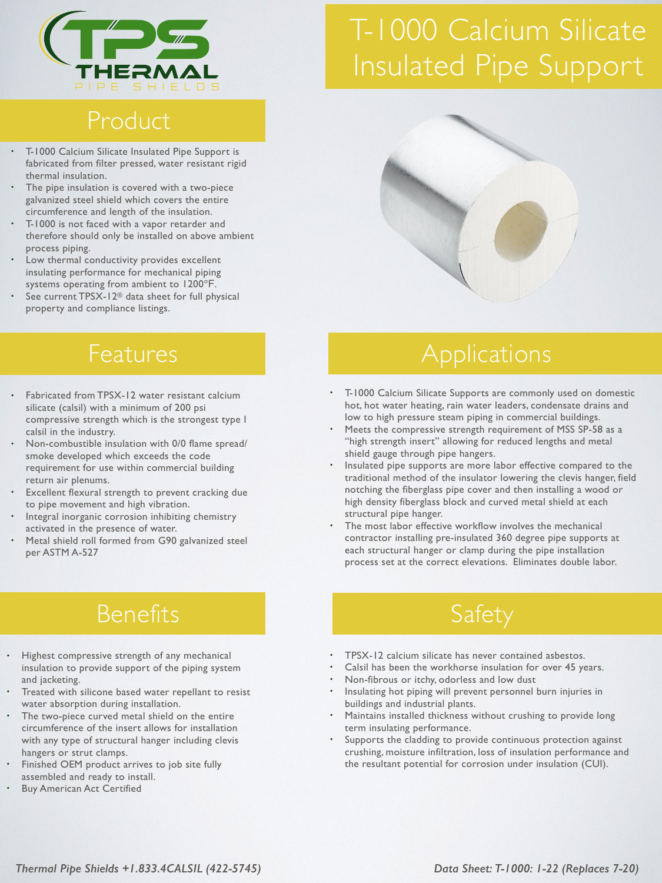

# T-1000 Calcium Silicate Insulated Pipe Support

## Product

- T-1000 Calcium Silicate Insulated Pipe Support is fabricated from filter pressed, water resistant rigid thermal insulation.
- The pipe insulation is covered with a two-piece galvanized steel shield which covers the entire circumference and length of the insulation.
- T-1000 is not faced with a vapor retarder and therefore should only be installed on above ambient process piping.
- Low thermal conductivity provides excellent insulating performance for mechanical piping systems operating from ambient to 1200°F.
- See current TPSX-12<sup>®</sup> data sheet for full physical property and compliance listings.

#### Features

- Fabricated from TPSX-12 water resistant calcium silicate (calsil) with a minimum of 200 psi compressive strength which is the strongest type I calsil in the industry.
- Non-combustible insulation with 0/0 flame spread/ smoke developed which exceeds the code requirement for use within commercial building return air plenums.
- Excellent flexural strength to prevent cracking due to pipe movement and high vibration.
- Integral inorganic corrosion inhibiting chemistry activated in the presence of water.
- Metal shield roll formed from G90 galvanized steel per ASTM A-527

### Benefits

- Highest compressive strength of any mechanical insulation to provide support of the piping system and jacketing.
- Treated with silicone based water repellant to resist water absorption during installation.
- The two-piece curved metal shield on the entire circumference of the insert allows for installation with any type of structural hanger including clevis hangers or strut clamps.
- Finished OEM product arrives to job site fully assembled and ready to install.
- **Buy American Act Certified**



# **Applications**

- T-1000 Calcium Silicate Supports are commonly used on domestic hot, hot water heating, rain water leaders, condensate drains and low to high pressure steam piping in commercial buildings.
- Meets the compressive strength requirement of MSS SP-58 as a "high strength insert" allowing for reduced lengths and metal shield gauge through pipe hangers.
- Insulated pipe supports are more labor effective compared to the traditional method of the insulator lowering the clevis hanger, field notching the fiberglass pipe cover and then installing a wood or high density fiberglass block and curved metal shield at each structural pipe hanger.
- The most labor effective workflow involves the mechanical contractor installing pre-insulated 360 degree pipe supports at each structural hanger or clamp during the pipe installation process set at the correct elevations. Eliminates double labor.

# Safety

- TPSX-12 calcium silicate has never contained asbestos.
- Calsil has been the workhorse insulation for over 45 years.
- Non-fibrous or itchy, odorless and low dust
- Insulating hot piping will prevent personnel burn injuries in buildings and industrial plants.
- Maintains installed thickness without crushing to provide long term insulating performance.
- Supports the cladding to provide continuous protection against crushing, moisture infiltration, loss of insulation performance and the resultant potential for corrosion under insulation (CUI).